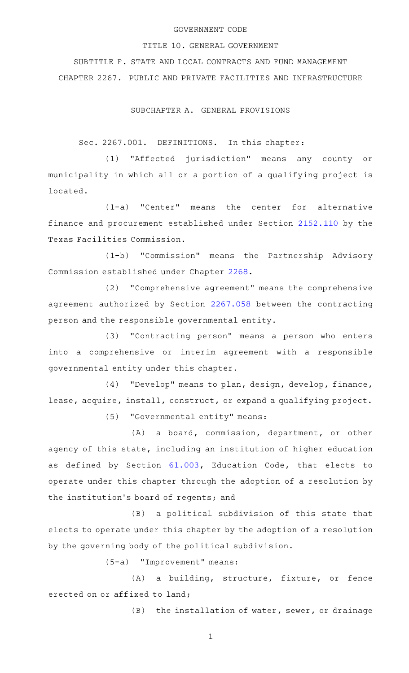### GOVERNMENT CODE

#### TITLE 10. GENERAL GOVERNMENT

SUBTITLE F. STATE AND LOCAL CONTRACTS AND FUND MANAGEMENT CHAPTER 2267. PUBLIC AND PRIVATE FACILITIES AND INFRASTRUCTURE

SUBCHAPTER A. GENERAL PROVISIONS

Sec. 2267.001. DEFINITIONS. In this chapter:

(1) "Affected jurisdiction" means any county or municipality in which all or a portion of a qualifying project is located.

 $(1-a)$  "Center" means the center for alternative finance and procurement established under Section [2152.110](http://www.statutes.legis.state.tx.us/GetStatute.aspx?Code=GV&Value=2152.110) by the Texas Facilities Commission.

(1-b) "Commission" means the Partnership Advisory Commission established under Chapter [2268](http://www.statutes.legis.state.tx.us/GetStatute.aspx?Code=GV&Value=2268).

(2) "Comprehensive agreement" means the comprehensive agreement authorized by Section [2267.058](http://www.statutes.legis.state.tx.us/GetStatute.aspx?Code=GV&Value=2267.058) between the contracting person and the responsible governmental entity.

(3) "Contracting person" means a person who enters into a comprehensive or interim agreement with a responsible governmental entity under this chapter.

(4) "Develop" means to plan, design, develop, finance, lease, acquire, install, construct, or expand a qualifying project.

(5) "Governmental entity" means:

(A) a board, commission, department, or other agency of this state, including an institution of higher education as defined by Section [61.003](http://www.statutes.legis.state.tx.us/GetStatute.aspx?Code=ED&Value=61.003), Education Code, that elects to operate under this chapter through the adoption of a resolution by the institution 's board of regents; and

 $(B)$  a political subdivision of this state that elects to operate under this chapter by the adoption of a resolution by the governing body of the political subdivision.

(5-a) "Improvement" means:

(A) a building, structure, fixture, or fence erected on or affixed to land;

(B) the installation of water, sewer, or drainage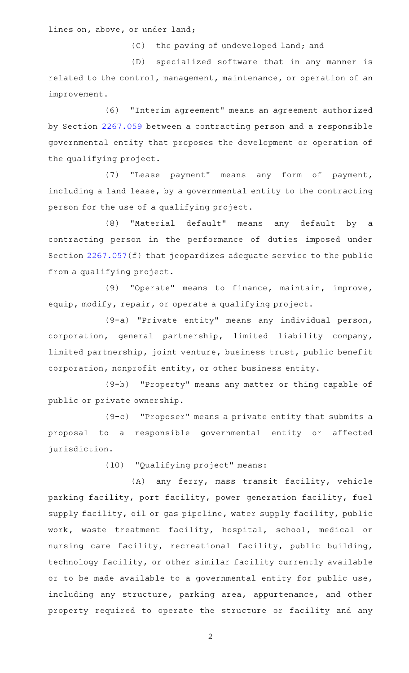lines on, above, or under land;

(C) the paving of undeveloped land; and

(D) specialized software that in any manner is related to the control, management, maintenance, or operation of an improvement.

(6) "Interim agreement" means an agreement authorized by Section [2267.059](http://www.statutes.legis.state.tx.us/GetStatute.aspx?Code=GV&Value=2267.059) between a contracting person and a responsible governmental entity that proposes the development or operation of the qualifying project.

(7) "Lease payment" means any form of payment, including a land lease, by a governmental entity to the contracting person for the use of a qualifying project.

(8) "Material default" means any default by a contracting person in the performance of duties imposed under Section [2267.057](http://www.statutes.legis.state.tx.us/GetStatute.aspx?Code=GV&Value=2267.057)(f) that jeopardizes adequate service to the public from a qualifying project.

(9) "Operate" means to finance, maintain, improve, equip, modify, repair, or operate a qualifying project.

(9-a) "Private entity" means any individual person, corporation, general partnership, limited liability company, limited partnership, joint venture, business trust, public benefit corporation, nonprofit entity, or other business entity.

(9-b) "Property" means any matter or thing capable of public or private ownership.

 $(9-c)$  "Proposer" means a private entity that submits a proposal to a responsible governmental entity or affected jurisdiction.

(10) "Qualifying project" means:

(A) any ferry, mass transit facility, vehicle parking facility, port facility, power generation facility, fuel supply facility, oil or gas pipeline, water supply facility, public work, waste treatment facility, hospital, school, medical or nursing care facility, recreational facility, public building, technology facility, or other similar facility currently available or to be made available to a governmental entity for public use, including any structure, parking area, appurtenance, and other property required to operate the structure or facility and any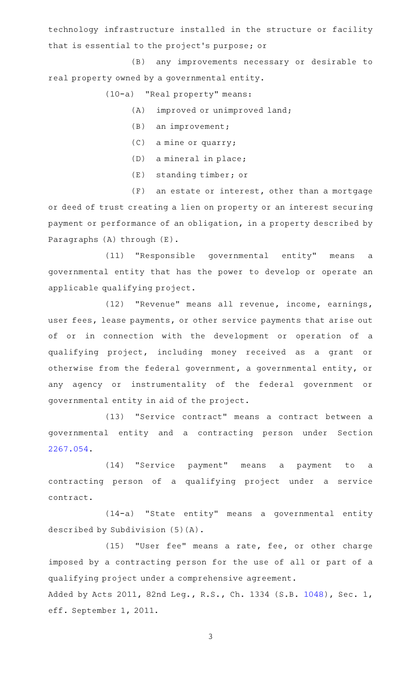technology infrastructure installed in the structure or facility that is essential to the project 's purpose; or

(B) any improvements necessary or desirable to real property owned by a governmental entity.

(10-a) "Real property" means:

- $(A)$  improved or unimproved land;
- $(B)$  an improvement;
- $(C)$  a mine or quarry;
- $(D)$  a mineral in place;
- $(E)$  standing timber; or

 $(F)$  an estate or interest, other than a mortgage or deed of trust creating a lien on property or an interest securing payment or performance of an obligation, in a property described by Paragraphs (A) through (E).

(11) "Responsible governmental entity" means a governmental entity that has the power to develop or operate an applicable qualifying project.

(12) "Revenue" means all revenue, income, earnings, user fees, lease payments, or other service payments that arise out of or in connection with the development or operation of a qualifying project, including money received as a grant or otherwise from the federal government, a governmental entity, or any agency or instrumentality of the federal government or governmental entity in aid of the project.

(13) "Service contract" means a contract between a governmental entity and a contracting person under Section [2267.054](http://www.statutes.legis.state.tx.us/GetStatute.aspx?Code=GV&Value=2267.054).

(14) "Service payment" means a payment to a contracting person of a qualifying project under a service contract.

(14-a) "State entity" means a governmental entity described by Subdivision (5)(A).

(15) "User fee" means a rate, fee, or other charge imposed by a contracting person for the use of all or part of a qualifying project under a comprehensive agreement. Added by Acts 2011, 82nd Leg., R.S., Ch. 1334 (S.B. [1048\)](http://www.legis.state.tx.us/tlodocs/82R/billtext/html/SB01048F.HTM), Sec. 1, eff. September 1, 2011.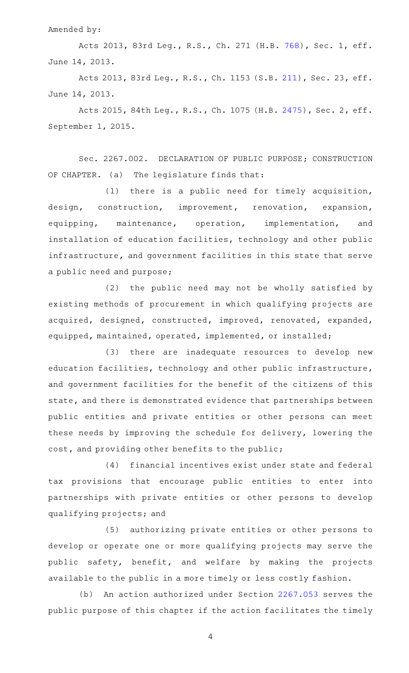Amended by:

Acts 2013, 83rd Leg., R.S., Ch. 271 (H.B. [768](http://www.legis.state.tx.us/tlodocs/83R/billtext/html/HB00768F.HTM)), Sec. 1, eff. June 14, 2013.

Acts 2013, 83rd Leg., R.S., Ch. 1153 (S.B. [211\)](http://www.legis.state.tx.us/tlodocs/83R/billtext/html/SB00211F.HTM), Sec. 23, eff. June 14, 2013.

Acts 2015, 84th Leg., R.S., Ch. 1075 (H.B. [2475](http://www.legis.state.tx.us/tlodocs/84R/billtext/html/HB02475F.HTM)), Sec. 2, eff. September 1, 2015.

Sec. 2267.002. DECLARATION OF PUBLIC PURPOSE; CONSTRUCTION OF CHAPTER. (a) The legislature finds that:

(1) there is a public need for timely acquisition, design, construction, improvement, renovation, expansion, equipping, maintenance, operation, implementation, and installation of education facilities, technology and other public infrastructure, and government facilities in this state that serve a public need and purpose;

(2) the public need may not be wholly satisfied by existing methods of procurement in which qualifying projects are acquired, designed, constructed, improved, renovated, expanded, equipped, maintained, operated, implemented, or installed;

(3) there are inadequate resources to develop new education facilities, technology and other public infrastructure, and government facilities for the benefit of the citizens of this state, and there is demonstrated evidence that partnerships between public entities and private entities or other persons can meet these needs by improving the schedule for delivery, lowering the cost, and providing other benefits to the public;

(4) financial incentives exist under state and federal tax provisions that encourage public entities to enter into partnerships with private entities or other persons to develop qualifying projects; and

(5) authorizing private entities or other persons to develop or operate one or more qualifying projects may serve the public safety, benefit, and welfare by making the projects available to the public in a more timely or less costly fashion.

(b) An action authorized under Section [2267.053](http://www.statutes.legis.state.tx.us/GetStatute.aspx?Code=GV&Value=2267.053) serves the public purpose of this chapter if the action facilitates the timely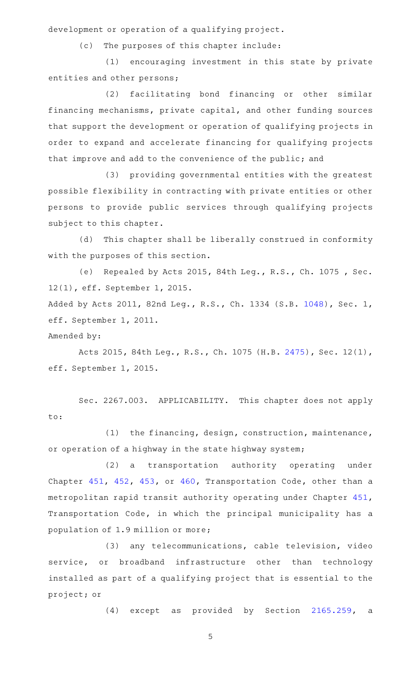development or operation of a qualifying project.

(c) The purposes of this chapter include:

(1) encouraging investment in this state by private entities and other persons;

(2) facilitating bond financing or other similar financing mechanisms, private capital, and other funding sources that support the development or operation of qualifying projects in order to expand and accelerate financing for qualifying projects that improve and add to the convenience of the public; and

(3) providing governmental entities with the greatest possible flexibility in contracting with private entities or other persons to provide public services through qualifying projects subject to this chapter.

(d) This chapter shall be liberally construed in conformity with the purposes of this section.

(e) Repealed by Acts 2015, 84th Leg., R.S., Ch. 1075, Sec. 12(1), eff. September 1, 2015.

Added by Acts 2011, 82nd Leg., R.S., Ch. 1334 (S.B. [1048\)](http://www.legis.state.tx.us/tlodocs/82R/billtext/html/SB01048F.HTM), Sec. 1, eff. September 1, 2011.

Amended by:

Acts 2015, 84th Leg., R.S., Ch. 1075 (H.B. [2475](http://www.legis.state.tx.us/tlodocs/84R/billtext/html/HB02475F.HTM)), Sec. 12(1), eff. September 1, 2015.

Sec. 2267.003. APPLICABILITY. This chapter does not apply to:

 $(1)$  the financing, design, construction, maintenance, or operation of a highway in the state highway system;

(2) a transportation authority operating under Chapter [451](http://www.statutes.legis.state.tx.us/GetStatute.aspx?Code=TN&Value=451), [452](http://www.statutes.legis.state.tx.us/GetStatute.aspx?Code=TN&Value=452), [453](http://www.statutes.legis.state.tx.us/GetStatute.aspx?Code=TN&Value=453), or [460](http://www.statutes.legis.state.tx.us/GetStatute.aspx?Code=TN&Value=460), Transportation Code, other than a metropolitan rapid transit authority operating under Chapter [451](http://www.statutes.legis.state.tx.us/GetStatute.aspx?Code=TN&Value=451), Transportation Code, in which the principal municipality has a population of 1.9 million or more;

(3) any telecommunications, cable television, video service, or broadband infrastructure other than technology installed as part of a qualifying project that is essential to the project; or

(4) except as provided by Section [2165.259](http://www.statutes.legis.state.tx.us/GetStatute.aspx?Code=GV&Value=2165.259), a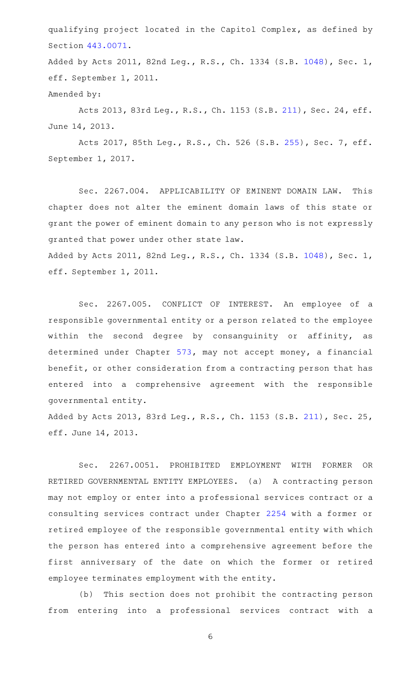qualifying project located in the Capitol Complex, as defined by Section [443.0071](http://www.statutes.legis.state.tx.us/GetStatute.aspx?Code=GV&Value=443.0071).

Added by Acts 2011, 82nd Leg., R.S., Ch. 1334 (S.B. [1048\)](http://www.legis.state.tx.us/tlodocs/82R/billtext/html/SB01048F.HTM), Sec. 1, eff. September 1, 2011.

Amended by:

Acts 2013, 83rd Leg., R.S., Ch. 1153 (S.B. [211\)](http://www.legis.state.tx.us/tlodocs/83R/billtext/html/SB00211F.HTM), Sec. 24, eff. June 14, 2013.

Acts 2017, 85th Leg., R.S., Ch. 526 (S.B. [255](http://www.legis.state.tx.us/tlodocs/85R/billtext/html/SB00255F.HTM)), Sec. 7, eff. September 1, 2017.

Sec. 2267.004. APPLICABILITY OF EMINENT DOMAIN LAW. This chapter does not alter the eminent domain laws of this state or grant the power of eminent domain to any person who is not expressly granted that power under other state law.

Added by Acts 2011, 82nd Leg., R.S., Ch. 1334 (S.B. [1048\)](http://www.legis.state.tx.us/tlodocs/82R/billtext/html/SB01048F.HTM), Sec. 1, eff. September 1, 2011.

Sec. 2267.005. CONFLICT OF INTEREST. An employee of a responsible governmental entity or a person related to the employee within the second degree by consanguinity or affinity, as determined under Chapter [573,](http://www.statutes.legis.state.tx.us/GetStatute.aspx?Code=GV&Value=573) may not accept money, a financial benefit, or other consideration from a contracting person that has entered into a comprehensive agreement with the responsible governmental entity.

Added by Acts 2013, 83rd Leg., R.S., Ch. 1153 (S.B. [211\)](http://www.legis.state.tx.us/tlodocs/83R/billtext/html/SB00211F.HTM), Sec. 25, eff. June 14, 2013.

Sec. 2267.0051. PROHIBITED EMPLOYMENT WITH FORMER OR RETIRED GOVERNMENTAL ENTITY EMPLOYEES. (a) A contracting person may not employ or enter into a professional services contract or a consulting services contract under Chapter [2254](http://www.statutes.legis.state.tx.us/GetStatute.aspx?Code=GV&Value=2254) with a former or retired employee of the responsible governmental entity with which the person has entered into a comprehensive agreement before the first anniversary of the date on which the former or retired employee terminates employment with the entity.

(b) This section does not prohibit the contracting person from entering into a professional services contract with a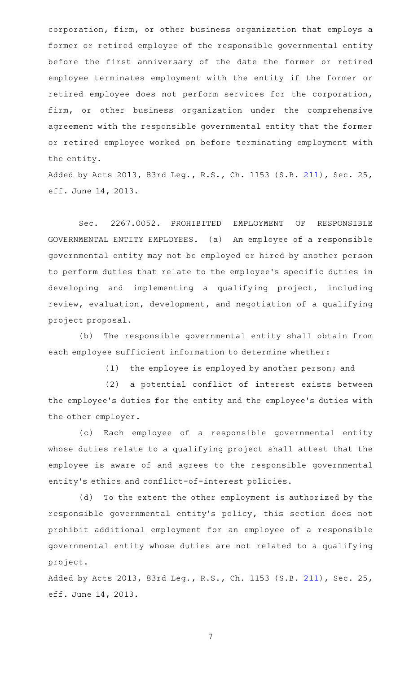corporation, firm, or other business organization that employs a former or retired employee of the responsible governmental entity before the first anniversary of the date the former or retired employee terminates employment with the entity if the former or retired employee does not perform services for the corporation, firm, or other business organization under the comprehensive agreement with the responsible governmental entity that the former or retired employee worked on before terminating employment with the entity.

Added by Acts 2013, 83rd Leg., R.S., Ch. 1153 (S.B. [211\)](http://www.legis.state.tx.us/tlodocs/83R/billtext/html/SB00211F.HTM), Sec. 25, eff. June 14, 2013.

Sec. 2267.0052. PROHIBITED EMPLOYMENT OF RESPONSIBLE GOVERNMENTAL ENTITY EMPLOYEES. (a) An employee of a responsible governmental entity may not be employed or hired by another person to perform duties that relate to the employee 's specific duties in developing and implementing a qualifying project, including review, evaluation, development, and negotiation of a qualifying project proposal.

(b) The responsible governmental entity shall obtain from each employee sufficient information to determine whether:

(1) the employee is employed by another person; and

(2) a potential conflict of interest exists between the employee 's duties for the entity and the employee 's duties with the other employer.

(c) Each employee of a responsible governmental entity whose duties relate to a qualifying project shall attest that the employee is aware of and agrees to the responsible governmental entity 's ethics and conflict-of-interest policies.

(d) To the extent the other employment is authorized by the responsible governmental entity's policy, this section does not prohibit additional employment for an employee of a responsible governmental entity whose duties are not related to a qualifying project.

Added by Acts 2013, 83rd Leg., R.S., Ch. 1153 (S.B. [211\)](http://www.legis.state.tx.us/tlodocs/83R/billtext/html/SB00211F.HTM), Sec. 25, eff. June 14, 2013.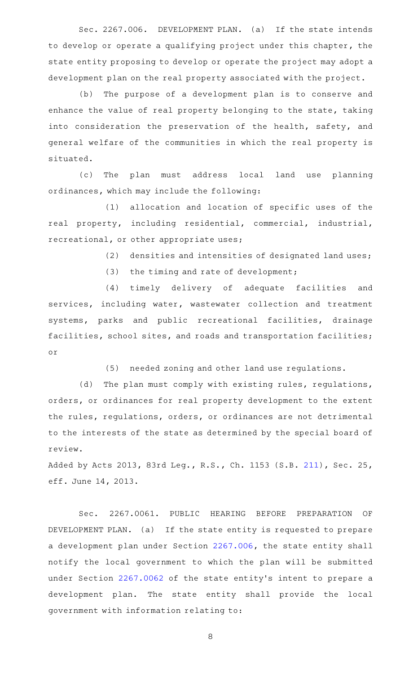Sec. 2267.006. DEVELOPMENT PLAN. (a) If the state intends to develop or operate a qualifying project under this chapter, the state entity proposing to develop or operate the project may adopt a development plan on the real property associated with the project.

(b) The purpose of a development plan is to conserve and enhance the value of real property belonging to the state, taking into consideration the preservation of the health, safety, and general welfare of the communities in which the real property is situated.

(c) The plan must address local land use planning ordinances, which may include the following:

(1) allocation and location of specific uses of the real property, including residential, commercial, industrial, recreational, or other appropriate uses;

 $(2)$  densities and intensities of designated land uses;

 $(3)$  the timing and rate of development;

(4) timely delivery of adequate facilities and services, including water, wastewater collection and treatment systems, parks and public recreational facilities, drainage facilities, school sites, and roads and transportation facilities; or

(5) needed zoning and other land use regulations.

(d) The plan must comply with existing rules, regulations, orders, or ordinances for real property development to the extent the rules, regulations, orders, or ordinances are not detrimental to the interests of the state as determined by the special board of review.

Added by Acts 2013, 83rd Leg., R.S., Ch. 1153 (S.B. [211\)](http://www.legis.state.tx.us/tlodocs/83R/billtext/html/SB00211F.HTM), Sec. 25, eff. June 14, 2013.

Sec. 2267.0061. PUBLIC HEARING BEFORE PREPARATION OF DEVELOPMENT PLAN. (a) If the state entity is requested to prepare a development plan under Section [2267.006,](http://www.statutes.legis.state.tx.us/GetStatute.aspx?Code=GV&Value=2267.006) the state entity shall notify the local government to which the plan will be submitted under Section [2267.0062](http://www.statutes.legis.state.tx.us/GetStatute.aspx?Code=GV&Value=2267.0062) of the state entity's intent to prepare a development plan. The state entity shall provide the local government with information relating to: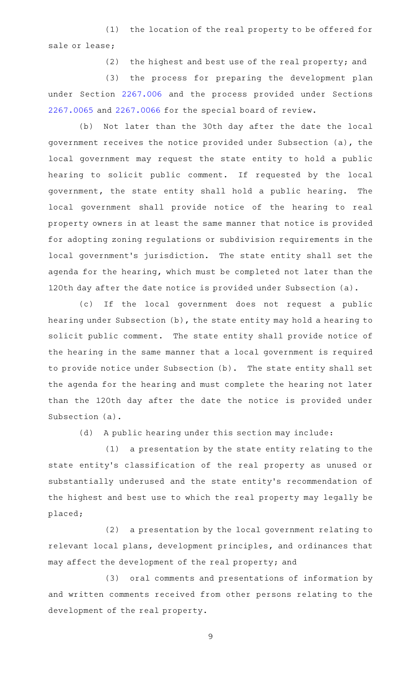(1) the location of the real property to be offered for sale or lease;

 $(2)$  the highest and best use of the real property; and

(3) the process for preparing the development plan under Section [2267.006](http://www.statutes.legis.state.tx.us/GetStatute.aspx?Code=GV&Value=2267.006) and the process provided under Sections [2267.0065](http://www.statutes.legis.state.tx.us/GetStatute.aspx?Code=GV&Value=2267.0065) and [2267.0066](http://www.statutes.legis.state.tx.us/GetStatute.aspx?Code=GV&Value=2267.0066) for the special board of review.

(b) Not later than the 30th day after the date the local government receives the notice provided under Subsection (a), the local government may request the state entity to hold a public hearing to solicit public comment. If requested by the local government, the state entity shall hold a public hearing. The local government shall provide notice of the hearing to real property owners in at least the same manner that notice is provided for adopting zoning regulations or subdivision requirements in the local government's jurisdiction. The state entity shall set the agenda for the hearing, which must be completed not later than the 120th day after the date notice is provided under Subsection (a).

(c) If the local government does not request a public hearing under Subsection (b), the state entity may hold a hearing to solicit public comment. The state entity shall provide notice of the hearing in the same manner that a local government is required to provide notice under Subsection (b). The state entity shall set the agenda for the hearing and must complete the hearing not later than the 120th day after the date the notice is provided under Subsection (a).

(d) A public hearing under this section may include:

 $(1)$  a presentation by the state entity relating to the state entity's classification of the real property as unused or substantially underused and the state entity 's recommendation of the highest and best use to which the real property may legally be placed;

(2) a presentation by the local government relating to relevant local plans, development principles, and ordinances that may affect the development of the real property; and

(3) oral comments and presentations of information by and written comments received from other persons relating to the development of the real property.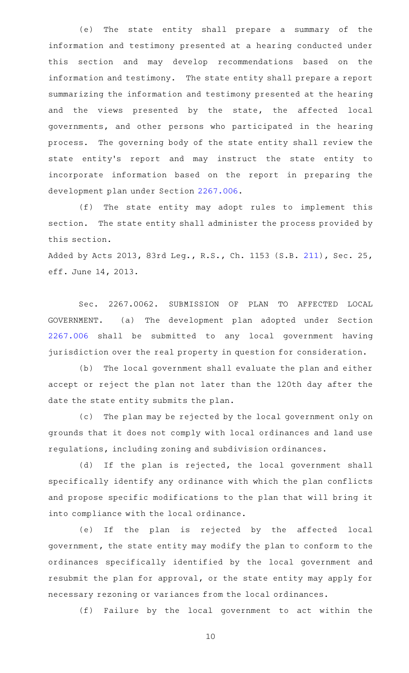(e) The state entity shall prepare a summary of the information and testimony presented at a hearing conducted under this section and may develop recommendations based on the information and testimony. The state entity shall prepare a report summarizing the information and testimony presented at the hearing and the views presented by the state, the affected local governments, and other persons who participated in the hearing process. The governing body of the state entity shall review the state entity's report and may instruct the state entity to incorporate information based on the report in preparing the development plan under Section [2267.006](http://www.statutes.legis.state.tx.us/GetStatute.aspx?Code=GV&Value=2267.006).

(f) The state entity may adopt rules to implement this section. The state entity shall administer the process provided by this section.

Added by Acts 2013, 83rd Leg., R.S., Ch. 1153 (S.B. [211\)](http://www.legis.state.tx.us/tlodocs/83R/billtext/html/SB00211F.HTM), Sec. 25, eff. June 14, 2013.

Sec. 2267.0062. SUBMISSION OF PLAN TO AFFECTED LOCAL GOVERNMENT. (a) The development plan adopted under Section [2267.006](http://www.statutes.legis.state.tx.us/GetStatute.aspx?Code=GV&Value=2267.006) shall be submitted to any local government having jurisdiction over the real property in question for consideration.

(b) The local government shall evaluate the plan and either accept or reject the plan not later than the 120th day after the date the state entity submits the plan.

(c) The plan may be rejected by the local government only on grounds that it does not comply with local ordinances and land use regulations, including zoning and subdivision ordinances.

(d) If the plan is rejected, the local government shall specifically identify any ordinance with which the plan conflicts and propose specific modifications to the plan that will bring it into compliance with the local ordinance.

(e) If the plan is rejected by the affected local government, the state entity may modify the plan to conform to the ordinances specifically identified by the local government and resubmit the plan for approval, or the state entity may apply for necessary rezoning or variances from the local ordinances.

(f) Failure by the local government to act within the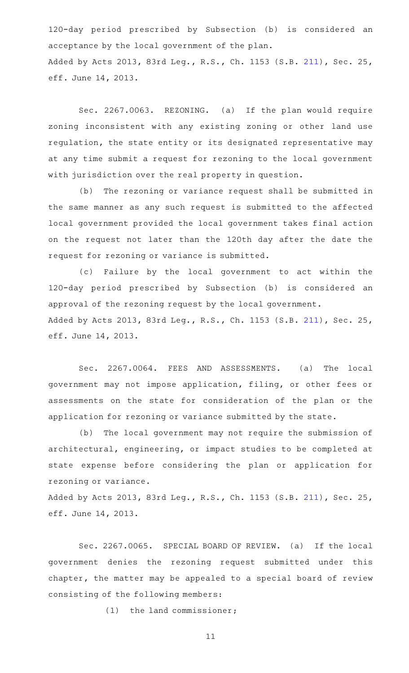120-day period prescribed by Subsection (b) is considered an acceptance by the local government of the plan. Added by Acts 2013, 83rd Leg., R.S., Ch. 1153 (S.B. [211\)](http://www.legis.state.tx.us/tlodocs/83R/billtext/html/SB00211F.HTM), Sec. 25, eff. June 14, 2013.

Sec. 2267.0063. REZONING. (a) If the plan would require zoning inconsistent with any existing zoning or other land use regulation, the state entity or its designated representative may at any time submit a request for rezoning to the local government with jurisdiction over the real property in question.

(b) The rezoning or variance request shall be submitted in the same manner as any such request is submitted to the affected local government provided the local government takes final action on the request not later than the 120th day after the date the request for rezoning or variance is submitted.

(c) Failure by the local government to act within the 120-day period prescribed by Subsection (b) is considered an approval of the rezoning request by the local government. Added by Acts 2013, 83rd Leg., R.S., Ch. 1153 (S.B. [211\)](http://www.legis.state.tx.us/tlodocs/83R/billtext/html/SB00211F.HTM), Sec. 25, eff. June 14, 2013.

Sec. 2267.0064. FEES AND ASSESSMENTS. (a) The local government may not impose application, filing, or other fees or assessments on the state for consideration of the plan or the application for rezoning or variance submitted by the state.

(b) The local government may not require the submission of architectural, engineering, or impact studies to be completed at state expense before considering the plan or application for rezoning or variance.

Added by Acts 2013, 83rd Leg., R.S., Ch. 1153 (S.B. [211\)](http://www.legis.state.tx.us/tlodocs/83R/billtext/html/SB00211F.HTM), Sec. 25, eff. June 14, 2013.

Sec. 2267.0065. SPECIAL BOARD OF REVIEW. (a) If the local government denies the rezoning request submitted under this chapter, the matter may be appealed to a special board of review consisting of the following members:

 $(1)$  the land commissioner;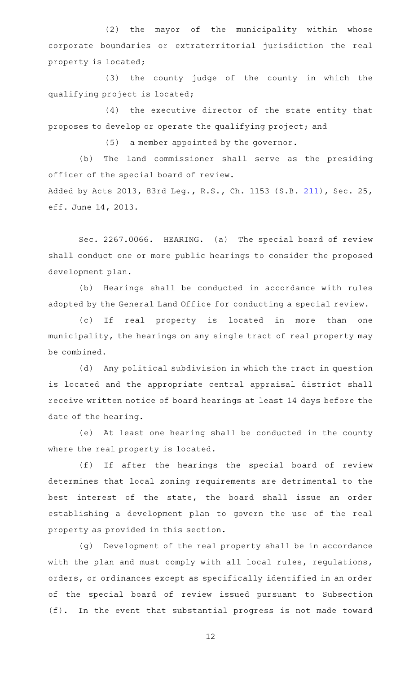(2) the mayor of the municipality within whose corporate boundaries or extraterritorial jurisdiction the real property is located;

 $(3)$  the county judge of the county in which the qualifying project is located;

 $(4)$  the executive director of the state entity that proposes to develop or operate the qualifying project; and

 $(5)$  a member appointed by the governor.

(b) The land commissioner shall serve as the presiding officer of the special board of review. Added by Acts 2013, 83rd Leg., R.S., Ch. 1153 (S.B. [211\)](http://www.legis.state.tx.us/tlodocs/83R/billtext/html/SB00211F.HTM), Sec. 25, eff. June 14, 2013.

Sec. 2267.0066. HEARING. (a) The special board of review shall conduct one or more public hearings to consider the proposed development plan.

(b) Hearings shall be conducted in accordance with rules adopted by the General Land Office for conducting a special review.

(c) If real property is located in more than one municipality, the hearings on any single tract of real property may be combined.

(d) Any political subdivision in which the tract in question is located and the appropriate central appraisal district shall receive written notice of board hearings at least 14 days before the date of the hearing.

(e) At least one hearing shall be conducted in the county where the real property is located.

(f) If after the hearings the special board of review determines that local zoning requirements are detrimental to the best interest of the state, the board shall issue an order establishing a development plan to govern the use of the real property as provided in this section.

(g) Development of the real property shall be in accordance with the plan and must comply with all local rules, regulations, orders, or ordinances except as specifically identified in an order of the special board of review issued pursuant to Subsection (f). In the event that substantial progress is not made toward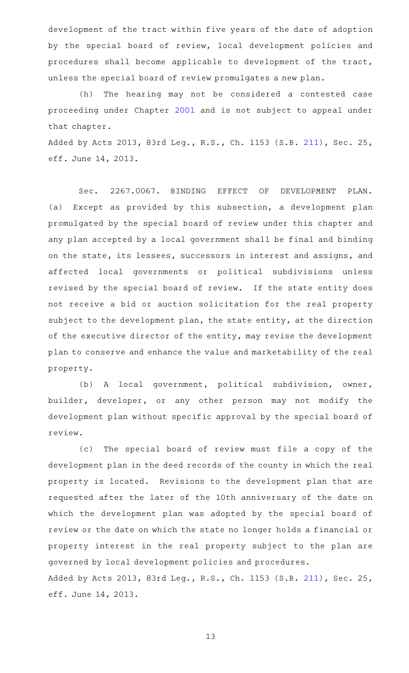development of the tract within five years of the date of adoption by the special board of review, local development policies and procedures shall become applicable to development of the tract, unless the special board of review promulgates a new plan.

(h) The hearing may not be considered a contested case proceeding under Chapter [2001](http://www.statutes.legis.state.tx.us/GetStatute.aspx?Code=GV&Value=2001) and is not subject to appeal under that chapter.

Added by Acts 2013, 83rd Leg., R.S., Ch. 1153 (S.B. [211\)](http://www.legis.state.tx.us/tlodocs/83R/billtext/html/SB00211F.HTM), Sec. 25, eff. June 14, 2013.

Sec. 2267.0067. BINDING EFFECT OF DEVELOPMENT PLAN. (a) Except as provided by this subsection, a development plan promulgated by the special board of review under this chapter and any plan accepted by a local government shall be final and binding on the state, its lessees, successors in interest and assigns, and affected local governments or political subdivisions unless revised by the special board of review. If the state entity does not receive a bid or auction solicitation for the real property subject to the development plan, the state entity, at the direction of the executive director of the entity, may revise the development plan to conserve and enhance the value and marketability of the real property.

(b) A local government, political subdivision, owner, builder, developer, or any other person may not modify the development plan without specific approval by the special board of review.

(c) The special board of review must file a copy of the development plan in the deed records of the county in which the real property is located. Revisions to the development plan that are requested after the later of the 10th anniversary of the date on which the development plan was adopted by the special board of review or the date on which the state no longer holds a financial or property interest in the real property subject to the plan are governed by local development policies and procedures. Added by Acts 2013, 83rd Leg., R.S., Ch. 1153 (S.B. [211\)](http://www.legis.state.tx.us/tlodocs/83R/billtext/html/SB00211F.HTM), Sec. 25, eff. June 14, 2013.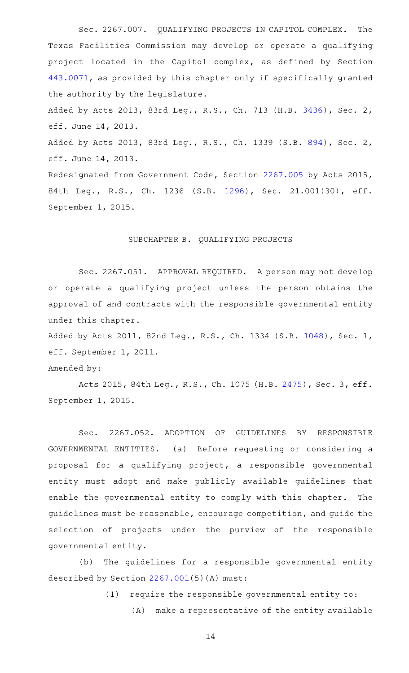Sec. 2267.007. QUALIFYING PROJECTS IN CAPITOL COMPLEX. The Texas Facilities Commission may develop or operate a qualifying project located in the Capitol complex, as defined by Section [443.0071](http://www.statutes.legis.state.tx.us/GetStatute.aspx?Code=GV&Value=443.0071), as provided by this chapter only if specifically granted the authority by the legislature. Added by Acts 2013, 83rd Leg., R.S., Ch. 713 (H.B. [3436](http://www.legis.state.tx.us/tlodocs/83R/billtext/html/HB03436F.HTM)), Sec. 2, eff. June 14, 2013. Added by Acts 2013, 83rd Leg., R.S., Ch. 1339 (S.B. [894](http://www.legis.state.tx.us/tlodocs/83R/billtext/html/SB00894F.HTM)), Sec. 2, eff. June 14, 2013. Redesignated from Government Code, Section [2267.005](http://www.statutes.legis.state.tx.us/GetStatute.aspx?Code=GV&Value=2267.005) by Acts 2015, 84th Leg., R.S., Ch. 1236 (S.B. [1296\)](http://www.legis.state.tx.us/tlodocs/84R/billtext/html/SB01296F.HTM), Sec. 21.001(30), eff. September 1, 2015.

### SUBCHAPTER B. QUALIFYING PROJECTS

Sec. 2267.051. APPROVAL REQUIRED. A person may not develop or operate a qualifying project unless the person obtains the approval of and contracts with the responsible governmental entity under this chapter.

Added by Acts 2011, 82nd Leg., R.S., Ch. 1334 (S.B. [1048\)](http://www.legis.state.tx.us/tlodocs/82R/billtext/html/SB01048F.HTM), Sec. 1, eff. September 1, 2011.

Amended by:

Acts 2015, 84th Leg., R.S., Ch. 1075 (H.B. [2475](http://www.legis.state.tx.us/tlodocs/84R/billtext/html/HB02475F.HTM)), Sec. 3, eff. September 1, 2015.

Sec. 2267.052. ADOPTION OF GUIDELINES BY RESPONSIBLE GOVERNMENTAL ENTITIES. (a) Before requesting or considering a proposal for a qualifying project, a responsible governmental entity must adopt and make publicly available guidelines that enable the governmental entity to comply with this chapter. The guidelines must be reasonable, encourage competition, and guide the selection of projects under the purview of the responsible governmental entity.

(b) The guidelines for a responsible governmental entity described by Section [2267.001](http://www.statutes.legis.state.tx.us/GetStatute.aspx?Code=GV&Value=2267.001)(5)(A) must:

 $(1)$  require the responsible governmental entity to:

(A) make a representative of the entity available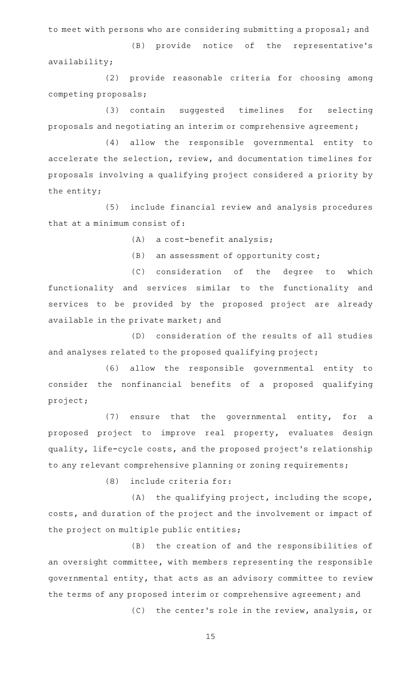to meet with persons who are considering submitting a proposal; and

(B) provide notice of the representative's availability;

(2) provide reasonable criteria for choosing among competing proposals;

(3) contain suggested timelines for selecting proposals and negotiating an interim or comprehensive agreement;

(4) allow the responsible governmental entity to accelerate the selection, review, and documentation timelines for proposals involving a qualifying project considered a priority by the entity;

(5) include financial review and analysis procedures that at a minimum consist of:

 $(A)$  a cost-benefit analysis;

 $(B)$  an assessment of opportunity cost;

(C) consideration of the degree to which functionality and services similar to the functionality and services to be provided by the proposed project are already available in the private market; and

(D) consideration of the results of all studies and analyses related to the proposed qualifying project;

(6) allow the responsible governmental entity to consider the nonfinancial benefits of a proposed qualifying project;

 $(7)$  ensure that the governmental entity, for a proposed project to improve real property, evaluates design quality, life-cycle costs, and the proposed project 's relationship to any relevant comprehensive planning or zoning requirements;

 $(8)$  include criteria for:

 $(A)$  the qualifying project, including the scope, costs, and duration of the project and the involvement or impact of the project on multiple public entities;

(B) the creation of and the responsibilities of an oversight committee, with members representing the responsible governmental entity, that acts as an advisory committee to review the terms of any proposed interim or comprehensive agreement; and

(C) the center's role in the review, analysis, or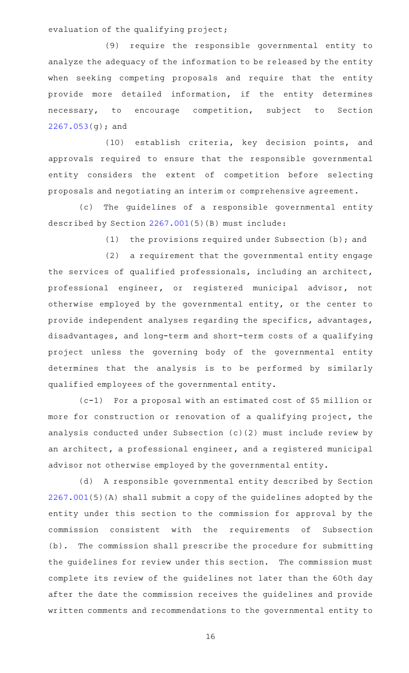evaluation of the qualifying project;

(9) require the responsible governmental entity to analyze the adequacy of the information to be released by the entity when seeking competing proposals and require that the entity provide more detailed information, if the entity determines necessary, to encourage competition, subject to Section [2267.053](http://www.statutes.legis.state.tx.us/GetStatute.aspx?Code=GV&Value=2267.053)(g); and

(10) establish criteria, key decision points, and approvals required to ensure that the responsible governmental entity considers the extent of competition before selecting proposals and negotiating an interim or comprehensive agreement.

(c) The guidelines of a responsible governmental entity described by Section [2267.001](http://www.statutes.legis.state.tx.us/GetStatute.aspx?Code=GV&Value=2267.001)(5)(B) must include:

(1) the provisions required under Subsection (b); and

(2) a requirement that the governmental entity engage the services of qualified professionals, including an architect, professional engineer, or registered municipal advisor, not otherwise employed by the governmental entity, or the center to provide independent analyses regarding the specifics, advantages, disadvantages, and long-term and short-term costs of a qualifying project unless the governing body of the governmental entity determines that the analysis is to be performed by similarly qualified employees of the governmental entity.

 $(c-1)$  For a proposal with an estimated cost of \$5 million or more for construction or renovation of a qualifying project, the analysis conducted under Subsection (c)(2) must include review by an architect, a professional engineer, and a registered municipal advisor not otherwise employed by the governmental entity.

(d) A responsible governmental entity described by Section [2267.001](http://www.statutes.legis.state.tx.us/GetStatute.aspx?Code=GV&Value=2267.001)(5)(A) shall submit a copy of the guidelines adopted by the entity under this section to the commission for approval by the commission consistent with the requirements of Subsection (b). The commission shall prescribe the procedure for submitting the guidelines for review under this section. The commission must complete its review of the guidelines not later than the 60th day after the date the commission receives the guidelines and provide written comments and recommendations to the governmental entity to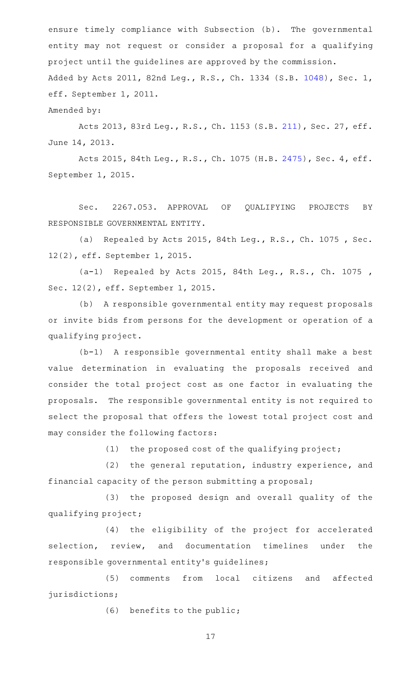ensure timely compliance with Subsection (b). The governmental entity may not request or consider a proposal for a qualifying project until the guidelines are approved by the commission. Added by Acts 2011, 82nd Leg., R.S., Ch. 1334 (S.B. [1048\)](http://www.legis.state.tx.us/tlodocs/82R/billtext/html/SB01048F.HTM), Sec. 1, eff. September 1, 2011.

Amended by:

Acts 2013, 83rd Leg., R.S., Ch. 1153 (S.B. [211\)](http://www.legis.state.tx.us/tlodocs/83R/billtext/html/SB00211F.HTM), Sec. 27, eff. June 14, 2013.

Acts 2015, 84th Leg., R.S., Ch. 1075 (H.B. [2475](http://www.legis.state.tx.us/tlodocs/84R/billtext/html/HB02475F.HTM)), Sec. 4, eff. September 1, 2015.

Sec. 2267.053. APPROVAL OF QUALIFYING PROJECTS BY RESPONSIBLE GOVERNMENTAL ENTITY.

(a) Repealed by Acts 2015, 84th Leg., R.S., Ch. 1075, Sec. 12(2), eff. September 1, 2015.

 $(a-1)$  Repealed by Acts 2015, 84th Leg., R.S., Ch. 1075 , Sec. 12(2), eff. September 1, 2015.

(b) A responsible governmental entity may request proposals or invite bids from persons for the development or operation of a qualifying project.

(b-1) A responsible governmental entity shall make a best value determination in evaluating the proposals received and consider the total project cost as one factor in evaluating the proposals. The responsible governmental entity is not required to select the proposal that offers the lowest total project cost and may consider the following factors:

(1) the proposed cost of the qualifying project;

(2) the general reputation, industry experience, and financial capacity of the person submitting a proposal;

(3) the proposed design and overall quality of the qualifying project;

(4) the eligibility of the project for accelerated selection, review, and documentation timelines under the responsible governmental entity 's guidelines;

(5) comments from local citizens and affected jurisdictions;

 $(6)$  benefits to the public;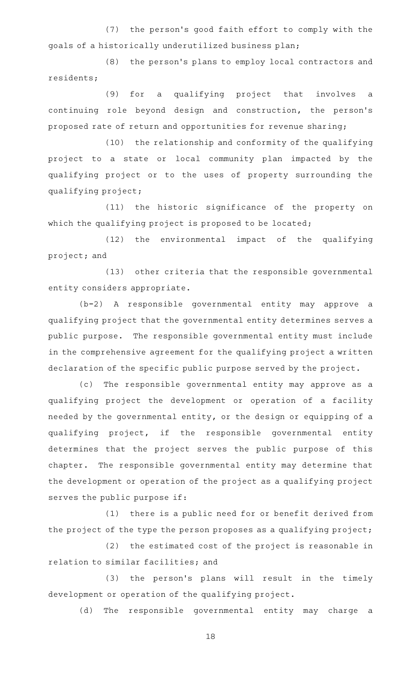(7) the person's good faith effort to comply with the goals of a historically underutilized business plan;

(8) the person's plans to employ local contractors and residents;

(9) for a qualifying project that involves a continuing role beyond design and construction, the person's proposed rate of return and opportunities for revenue sharing;

(10) the relationship and conformity of the qualifying project to a state or local community plan impacted by the qualifying project or to the uses of property surrounding the qualifying project;

(11) the historic significance of the property on which the qualifying project is proposed to be located;

(12) the environmental impact of the qualifying project; and

(13) other criteria that the responsible governmental entity considers appropriate.

(b-2)AAA responsible governmental entity may approve a qualifying project that the governmental entity determines serves a public purpose. The responsible governmental entity must include in the comprehensive agreement for the qualifying project a written declaration of the specific public purpose served by the project.

(c) The responsible governmental entity may approve as a qualifying project the development or operation of a facility needed by the governmental entity, or the design or equipping of a qualifying project, if the responsible governmental entity determines that the project serves the public purpose of this chapter. The responsible governmental entity may determine that the development or operation of the project as a qualifying project serves the public purpose if:

(1) there is a public need for or benefit derived from the project of the type the person proposes as a qualifying project;

(2) the estimated cost of the project is reasonable in relation to similar facilities; and

(3) the person's plans will result in the timely development or operation of the qualifying project.

(d) The responsible governmental entity may charge a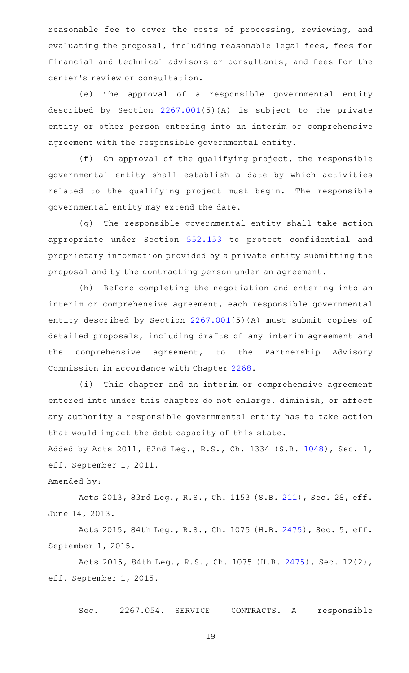reasonable fee to cover the costs of processing, reviewing, and evaluating the proposal, including reasonable legal fees, fees for financial and technical advisors or consultants, and fees for the center 's review or consultation.

(e) The approval of a responsible governmental entity described by Section [2267.001](http://www.statutes.legis.state.tx.us/GetStatute.aspx?Code=GV&Value=2267.001)(5)(A) is subject to the private entity or other person entering into an interim or comprehensive agreement with the responsible governmental entity.

 $(f)$  On approval of the qualifying project, the responsible governmental entity shall establish a date by which activities related to the qualifying project must begin. The responsible governmental entity may extend the date.

(g) The responsible governmental entity shall take action appropriate under Section [552.153](http://www.statutes.legis.state.tx.us/GetStatute.aspx?Code=GV&Value=552.153) to protect confidential and proprietary information provided by a private entity submitting the proposal and by the contracting person under an agreement.

(h) Before completing the negotiation and entering into an interim or comprehensive agreement, each responsible governmental entity described by Section [2267.001](http://www.statutes.legis.state.tx.us/GetStatute.aspx?Code=GV&Value=2267.001)(5)(A) must submit copies of detailed proposals, including drafts of any interim agreement and the comprehensive agreement, to the Partnership Advisory Commission in accordance with Chapter [2268](http://www.statutes.legis.state.tx.us/GetStatute.aspx?Code=GV&Value=2268).

(i) This chapter and an interim or comprehensive agreement entered into under this chapter do not enlarge, diminish, or affect any authority a responsible governmental entity has to take action that would impact the debt capacity of this state.

Added by Acts 2011, 82nd Leg., R.S., Ch. 1334 (S.B. [1048\)](http://www.legis.state.tx.us/tlodocs/82R/billtext/html/SB01048F.HTM), Sec. 1, eff. September 1, 2011.

Amended by:

Acts 2013, 83rd Leg., R.S., Ch. 1153 (S.B. [211\)](http://www.legis.state.tx.us/tlodocs/83R/billtext/html/SB00211F.HTM), Sec. 28, eff. June 14, 2013.

Acts 2015, 84th Leg., R.S., Ch. 1075 (H.B. [2475](http://www.legis.state.tx.us/tlodocs/84R/billtext/html/HB02475F.HTM)), Sec. 5, eff. September 1, 2015.

Acts 2015, 84th Leg., R.S., Ch. 1075 (H.B. [2475](http://www.legis.state.tx.us/tlodocs/84R/billtext/html/HB02475F.HTM)), Sec. 12(2), eff. September 1, 2015.

Sec. 2267.054. SERVICE CONTRACTS. A responsible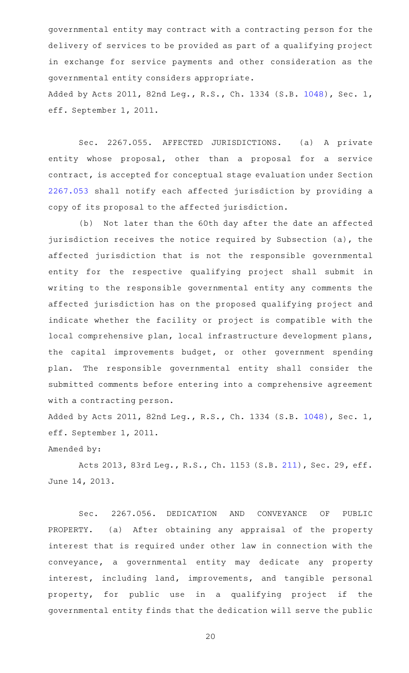governmental entity may contract with a contracting person for the delivery of services to be provided as part of a qualifying project in exchange for service payments and other consideration as the governmental entity considers appropriate.

Added by Acts 2011, 82nd Leg., R.S., Ch. 1334 (S.B. [1048\)](http://www.legis.state.tx.us/tlodocs/82R/billtext/html/SB01048F.HTM), Sec. 1, eff. September 1, 2011.

Sec. 2267.055. AFFECTED JURISDICTIONS. (a) A private entity whose proposal, other than a proposal for a service contract, is accepted for conceptual stage evaluation under Section [2267.053](http://www.statutes.legis.state.tx.us/GetStatute.aspx?Code=GV&Value=2267.053) shall notify each affected jurisdiction by providing a copy of its proposal to the affected jurisdiction.

(b) Not later than the 60th day after the date an affected jurisdiction receives the notice required by Subsection (a), the affected jurisdiction that is not the responsible governmental entity for the respective qualifying project shall submit in writing to the responsible governmental entity any comments the affected jurisdiction has on the proposed qualifying project and indicate whether the facility or project is compatible with the local comprehensive plan, local infrastructure development plans, the capital improvements budget, or other government spending plan. The responsible governmental entity shall consider the submitted comments before entering into a comprehensive agreement with a contracting person.

Added by Acts 2011, 82nd Leg., R.S., Ch. 1334 (S.B. [1048\)](http://www.legis.state.tx.us/tlodocs/82R/billtext/html/SB01048F.HTM), Sec. 1, eff. September 1, 2011.

Amended by:

Acts 2013, 83rd Leg., R.S., Ch. 1153 (S.B. [211\)](http://www.legis.state.tx.us/tlodocs/83R/billtext/html/SB00211F.HTM), Sec. 29, eff. June 14, 2013.

Sec. 2267.056. DEDICATION AND CONVEYANCE OF PUBLIC PROPERTY. (a) After obtaining any appraisal of the property interest that is required under other law in connection with the conveyance, a governmental entity may dedicate any property interest, including land, improvements, and tangible personal property, for public use in a qualifying project if the governmental entity finds that the dedication will serve the public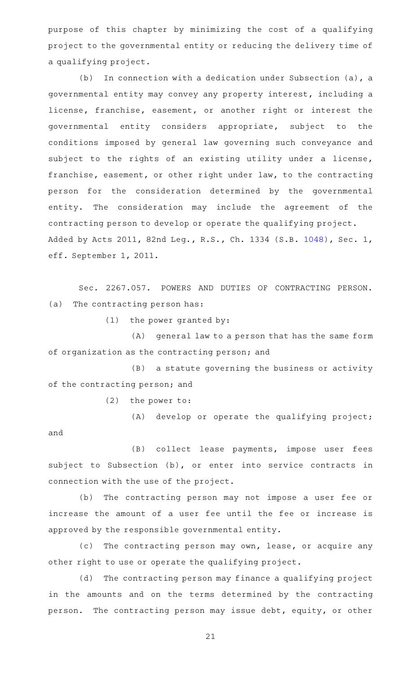purpose of this chapter by minimizing the cost of a qualifying project to the governmental entity or reducing the delivery time of a qualifying project.

(b) In connection with a dedication under Subsection (a), a governmental entity may convey any property interest, including a license, franchise, easement, or another right or interest the governmental entity considers appropriate, subject to the conditions imposed by general law governing such conveyance and subject to the rights of an existing utility under a license, franchise, easement, or other right under law, to the contracting person for the consideration determined by the governmental entity. The consideration may include the agreement of the contracting person to develop or operate the qualifying project. Added by Acts 2011, 82nd Leg., R.S., Ch. 1334 (S.B. [1048\)](http://www.legis.state.tx.us/tlodocs/82R/billtext/html/SB01048F.HTM), Sec. 1, eff. September 1, 2011.

Sec. 2267.057. POWERS AND DUTIES OF CONTRACTING PERSON. (a) The contracting person has:

 $(1)$  the power granted by:

(A) general law to a person that has the same form of organization as the contracting person; and

(B) a statute governing the business or activity of the contracting person; and

(2) the power to:

 $(A)$  develop or operate the qualifying project; and

(B) collect lease payments, impose user fees subject to Subsection (b), or enter into service contracts in connection with the use of the project.

(b) The contracting person may not impose a user fee or increase the amount of a user fee until the fee or increase is approved by the responsible governmental entity.

(c) The contracting person may own, lease, or acquire any other right to use or operate the qualifying project.

(d) The contracting person may finance a qualifying project in the amounts and on the terms determined by the contracting person. The contracting person may issue debt, equity, or other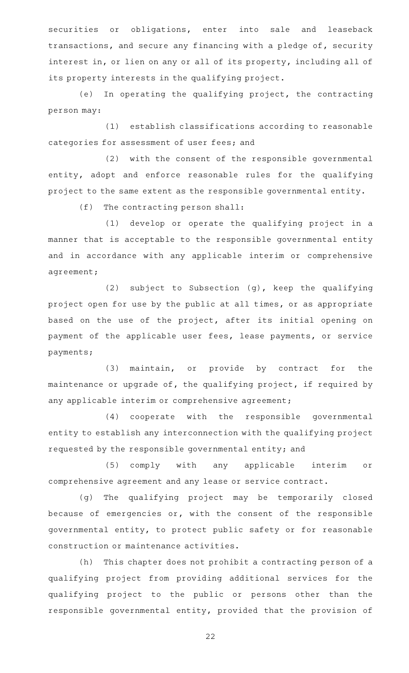securities or obligations, enter into sale and leaseback transactions, and secure any financing with a pledge of, security interest in, or lien on any or all of its property, including all of its property interests in the qualifying project.

(e) In operating the qualifying project, the contracting person may:

(1) establish classifications according to reasonable categories for assessment of user fees; and

(2) with the consent of the responsible governmental entity, adopt and enforce reasonable rules for the qualifying project to the same extent as the responsible governmental entity.

 $(f)$  The contracting person shall:

(1) develop or operate the qualifying project in a manner that is acceptable to the responsible governmental entity and in accordance with any applicable interim or comprehensive agreement;

(2) subject to Subsection (g), keep the qualifying project open for use by the public at all times, or as appropriate based on the use of the project, after its initial opening on payment of the applicable user fees, lease payments, or service payments;

(3) maintain, or provide by contract for the maintenance or upgrade of, the qualifying project, if required by any applicable interim or comprehensive agreement;

(4) cooperate with the responsible governmental entity to establish any interconnection with the qualifying project requested by the responsible governmental entity; and

(5) comply with any applicable interim or comprehensive agreement and any lease or service contract.

(g) The qualifying project may be temporarily closed because of emergencies or, with the consent of the responsible governmental entity, to protect public safety or for reasonable construction or maintenance activities.

(h) This chapter does not prohibit a contracting person of a qualifying project from providing additional services for the qualifying project to the public or persons other than the responsible governmental entity, provided that the provision of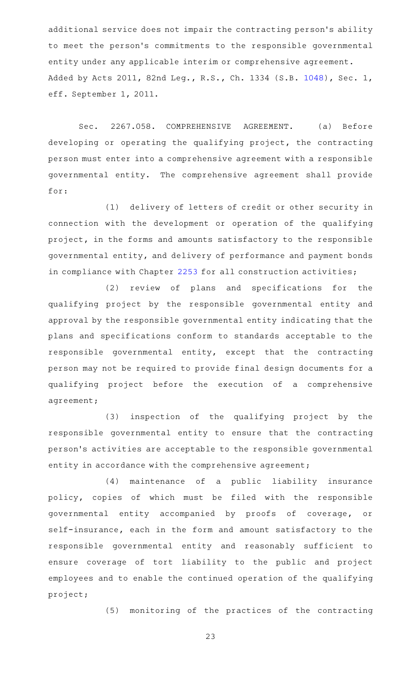additional service does not impair the contracting person 's ability to meet the person 's commitments to the responsible governmental entity under any applicable interim or comprehensive agreement. Added by Acts 2011, 82nd Leg., R.S., Ch. 1334 (S.B. [1048\)](http://www.legis.state.tx.us/tlodocs/82R/billtext/html/SB01048F.HTM), Sec. 1, eff. September 1, 2011.

Sec. 2267.058. COMPREHENSIVE AGREEMENT. (a) Before developing or operating the qualifying project, the contracting person must enter into a comprehensive agreement with a responsible governmental entity. The comprehensive agreement shall provide for:

(1) delivery of letters of credit or other security in connection with the development or operation of the qualifying project, in the forms and amounts satisfactory to the responsible governmental entity, and delivery of performance and payment bonds in compliance with Chapter [2253](http://www.statutes.legis.state.tx.us/GetStatute.aspx?Code=GV&Value=2253) for all construction activities;

(2) review of plans and specifications for the qualifying project by the responsible governmental entity and approval by the responsible governmental entity indicating that the plans and specifications conform to standards acceptable to the responsible governmental entity, except that the contracting person may not be required to provide final design documents for a qualifying project before the execution of a comprehensive agreement;

(3) inspection of the qualifying project by the responsible governmental entity to ensure that the contracting person 's activities are acceptable to the responsible governmental entity in accordance with the comprehensive agreement;

(4) maintenance of a public liability insurance policy, copies of which must be filed with the responsible governmental entity accompanied by proofs of coverage, or self-insurance, each in the form and amount satisfactory to the responsible governmental entity and reasonably sufficient to ensure coverage of tort liability to the public and project employees and to enable the continued operation of the qualifying project;

(5) monitoring of the practices of the contracting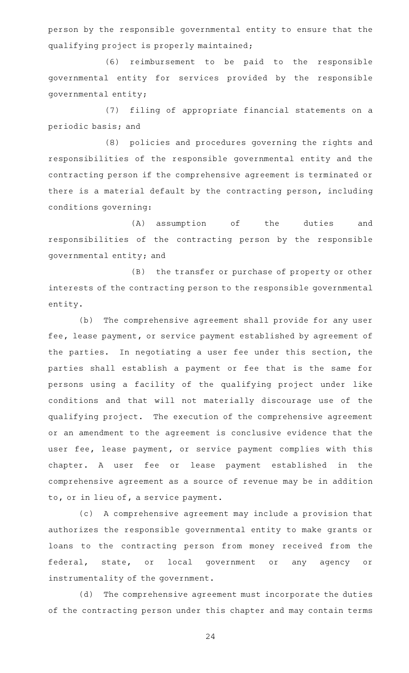person by the responsible governmental entity to ensure that the qualifying project is properly maintained;

(6) reimbursement to be paid to the responsible governmental entity for services provided by the responsible governmental entity;

(7) filing of appropriate financial statements on a periodic basis; and

(8) policies and procedures governing the rights and responsibilities of the responsible governmental entity and the contracting person if the comprehensive agreement is terminated or there is a material default by the contracting person, including conditions governing:

(A) assumption of the duties and responsibilities of the contracting person by the responsible governmental entity; and

(B) the transfer or purchase of property or other interests of the contracting person to the responsible governmental entity.

(b) The comprehensive agreement shall provide for any user fee, lease payment, or service payment established by agreement of the parties. In negotiating a user fee under this section, the parties shall establish a payment or fee that is the same for persons using a facility of the qualifying project under like conditions and that will not materially discourage use of the qualifying project. The execution of the comprehensive agreement or an amendment to the agreement is conclusive evidence that the user fee, lease payment, or service payment complies with this chapter. A user fee or lease payment established in the comprehensive agreement as a source of revenue may be in addition to, or in lieu of, a service payment.

(c) A comprehensive agreement may include a provision that authorizes the responsible governmental entity to make grants or loans to the contracting person from money received from the federal, state, or local government or any agency or instrumentality of the government.

(d) The comprehensive agreement must incorporate the duties of the contracting person under this chapter and may contain terms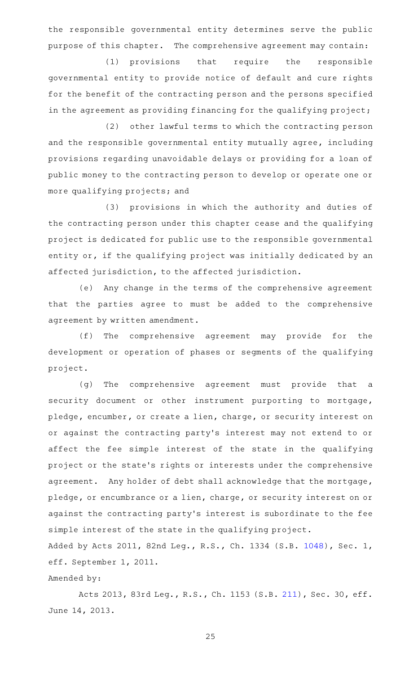the responsible governmental entity determines serve the public purpose of this chapter. The comprehensive agreement may contain:

(1) provisions that require the responsible governmental entity to provide notice of default and cure rights for the benefit of the contracting person and the persons specified in the agreement as providing financing for the qualifying project;

(2) other lawful terms to which the contracting person and the responsible governmental entity mutually agree, including provisions regarding unavoidable delays or providing for a loan of public money to the contracting person to develop or operate one or more qualifying projects; and

(3) provisions in which the authority and duties of the contracting person under this chapter cease and the qualifying project is dedicated for public use to the responsible governmental entity or, if the qualifying project was initially dedicated by an affected jurisdiction, to the affected jurisdiction.

(e) Any change in the terms of the comprehensive agreement that the parties agree to must be added to the comprehensive agreement by written amendment.

(f) The comprehensive agreement may provide for the development or operation of phases or segments of the qualifying project.

(g) The comprehensive agreement must provide that a security document or other instrument purporting to mortgage, pledge, encumber, or create a lien, charge, or security interest on or against the contracting party's interest may not extend to or affect the fee simple interest of the state in the qualifying project or the state 's rights or interests under the comprehensive agreement. Any holder of debt shall acknowledge that the mortgage, pledge, or encumbrance or a lien, charge, or security interest on or against the contracting party 's interest is subordinate to the fee simple interest of the state in the qualifying project.

Added by Acts 2011, 82nd Leg., R.S., Ch. 1334 (S.B. [1048\)](http://www.legis.state.tx.us/tlodocs/82R/billtext/html/SB01048F.HTM), Sec. 1, eff. September 1, 2011.

# Amended by:

Acts 2013, 83rd Leg., R.S., Ch. 1153 (S.B. [211\)](http://www.legis.state.tx.us/tlodocs/83R/billtext/html/SB00211F.HTM), Sec. 30, eff. June 14, 2013.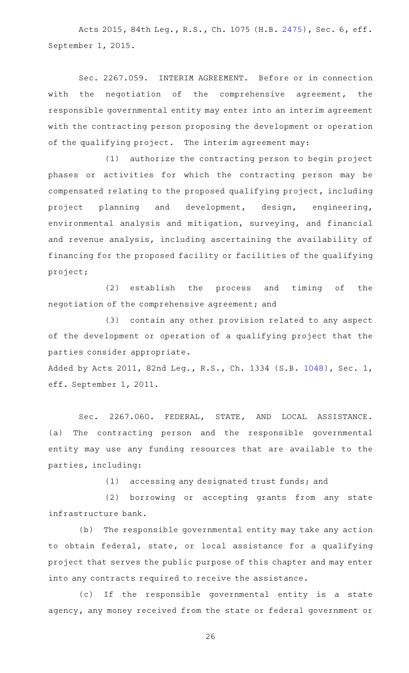Acts 2015, 84th Leg., R.S., Ch. 1075 (H.B. [2475](http://www.legis.state.tx.us/tlodocs/84R/billtext/html/HB02475F.HTM)), Sec. 6, eff. September 1, 2015.

Sec. 2267.059. INTERIM AGREEMENT. Before or in connection with the negotiation of the comprehensive agreement, the responsible governmental entity may enter into an interim agreement with the contracting person proposing the development or operation of the qualifying project. The interim agreement may:

(1) authorize the contracting person to begin project phases or activities for which the contracting person may be compensated relating to the proposed qualifying project, including project planning and development, design, engineering, environmental analysis and mitigation, surveying, and financial and revenue analysis, including ascertaining the availability of financing for the proposed facility or facilities of the qualifying project;

(2) establish the process and timing of the negotiation of the comprehensive agreement; and

(3) contain any other provision related to any aspect of the development or operation of a qualifying project that the parties consider appropriate.

Added by Acts 2011, 82nd Leg., R.S., Ch. 1334 (S.B. [1048\)](http://www.legis.state.tx.us/tlodocs/82R/billtext/html/SB01048F.HTM), Sec. 1, eff. September 1, 2011.

Sec. 2267.060. FEDERAL, STATE, AND LOCAL ASSISTANCE. (a) The contracting person and the responsible governmental entity may use any funding resources that are available to the parties, including:

(1) accessing any designated trust funds; and

(2) borrowing or accepting grants from any state infrastructure bank.

(b) The responsible governmental entity may take any action to obtain federal, state, or local assistance for a qualifying project that serves the public purpose of this chapter and may enter into any contracts required to receive the assistance.

(c) If the responsible governmental entity is a state agency, any money received from the state or federal government or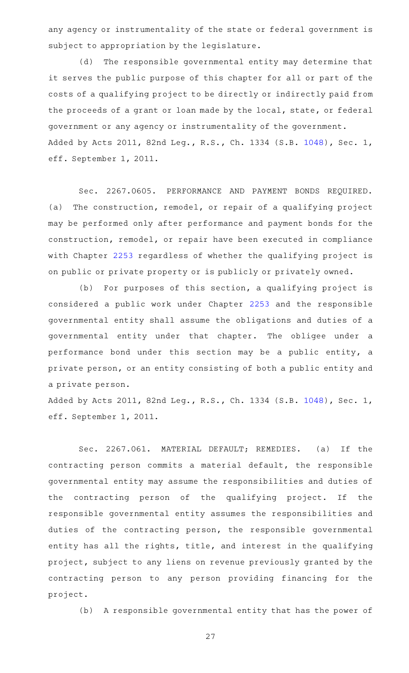any agency or instrumentality of the state or federal government is subject to appropriation by the legislature.

(d) The responsible governmental entity may determine that it serves the public purpose of this chapter for all or part of the costs of a qualifying project to be directly or indirectly paid from the proceeds of a grant or loan made by the local, state, or federal government or any agency or instrumentality of the government. Added by Acts 2011, 82nd Leg., R.S., Ch. 1334 (S.B. [1048\)](http://www.legis.state.tx.us/tlodocs/82R/billtext/html/SB01048F.HTM), Sec. 1, eff. September 1, 2011.

Sec. 2267.0605. PERFORMANCE AND PAYMENT BONDS REQUIRED. (a) The construction, remodel, or repair of a qualifying project may be performed only after performance and payment bonds for the construction, remodel, or repair have been executed in compliance with Chapter [2253](http://www.statutes.legis.state.tx.us/GetStatute.aspx?Code=GV&Value=2253) regardless of whether the qualifying project is on public or private property or is publicly or privately owned.

(b) For purposes of this section, a qualifying project is considered a public work under Chapter [2253](http://www.statutes.legis.state.tx.us/GetStatute.aspx?Code=GV&Value=2253) and the responsible governmental entity shall assume the obligations and duties of a governmental entity under that chapter. The obligee under a performance bond under this section may be a public entity, a private person, or an entity consisting of both a public entity and a private person.

Added by Acts 2011, 82nd Leg., R.S., Ch. 1334 (S.B. [1048\)](http://www.legis.state.tx.us/tlodocs/82R/billtext/html/SB01048F.HTM), Sec. 1, eff. September 1, 2011.

Sec. 2267.061. MATERIAL DEFAULT; REMEDIES. (a) If the contracting person commits a material default, the responsible governmental entity may assume the responsibilities and duties of the contracting person of the qualifying project. If the responsible governmental entity assumes the responsibilities and duties of the contracting person, the responsible governmental entity has all the rights, title, and interest in the qualifying project, subject to any liens on revenue previously granted by the contracting person to any person providing financing for the project.

(b) A responsible governmental entity that has the power of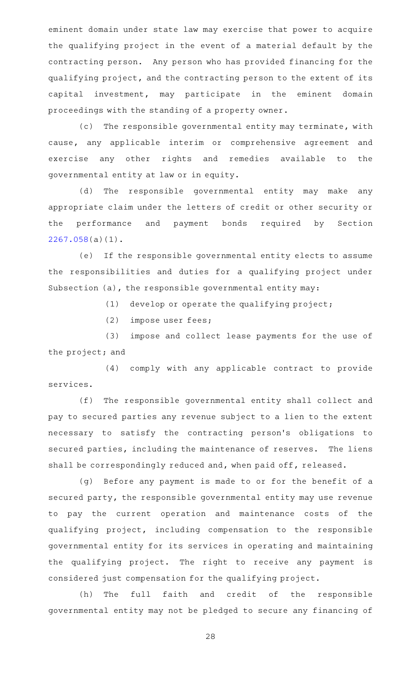eminent domain under state law may exercise that power to acquire the qualifying project in the event of a material default by the contracting person. Any person who has provided financing for the qualifying project, and the contracting person to the extent of its capital investment, may participate in the eminent domain proceedings with the standing of a property owner.

(c) The responsible governmental entity may terminate, with cause, any applicable interim or comprehensive agreement and exercise any other rights and remedies available to the governmental entity at law or in equity.

(d) The responsible governmental entity may make any appropriate claim under the letters of credit or other security or the performance and payment bonds required by Section [2267.058](http://www.statutes.legis.state.tx.us/GetStatute.aspx?Code=GV&Value=2267.058)(a)(1).

(e) If the responsible governmental entity elects to assume the responsibilities and duties for a qualifying project under Subsection (a), the responsible governmental entity may:

(1) develop or operate the qualifying project;

(2) impose user fees;

(3) impose and collect lease payments for the use of the project; and

(4) comply with any applicable contract to provide services.

(f) The responsible governmental entity shall collect and pay to secured parties any revenue subject to a lien to the extent necessary to satisfy the contracting person's obligations to secured parties, including the maintenance of reserves. The liens shall be correspondingly reduced and, when paid off, released.

(g) Before any payment is made to or for the benefit of a secured party, the responsible governmental entity may use revenue to pay the current operation and maintenance costs of the qualifying project, including compensation to the responsible governmental entity for its services in operating and maintaining the qualifying project. The right to receive any payment is considered just compensation for the qualifying project.

(h) The full faith and credit of the responsible governmental entity may not be pledged to secure any financing of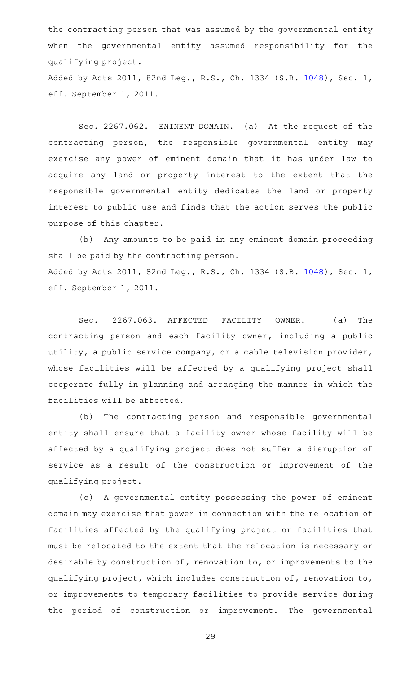the contracting person that was assumed by the governmental entity when the governmental entity assumed responsibility for the qualifying project. Added by Acts 2011, 82nd Leg., R.S., Ch. 1334 (S.B. [1048\)](http://www.legis.state.tx.us/tlodocs/82R/billtext/html/SB01048F.HTM), Sec. 1, eff. September 1, 2011.

Sec. 2267.062. EMINENT DOMAIN. (a) At the request of the contracting person, the responsible governmental entity may exercise any power of eminent domain that it has under law to acquire any land or property interest to the extent that the responsible governmental entity dedicates the land or property interest to public use and finds that the action serves the public purpose of this chapter.

(b) Any amounts to be paid in any eminent domain proceeding shall be paid by the contracting person. Added by Acts 2011, 82nd Leg., R.S., Ch. 1334 (S.B. [1048\)](http://www.legis.state.tx.us/tlodocs/82R/billtext/html/SB01048F.HTM), Sec. 1, eff. September 1, 2011.

Sec. 2267.063. AFFECTED FACILITY OWNER. (a) The contracting person and each facility owner, including a public utility, a public service company, or a cable television provider, whose facilities will be affected by a qualifying project shall cooperate fully in planning and arranging the manner in which the facilities will be affected.

(b) The contracting person and responsible governmental entity shall ensure that a facility owner whose facility will be affected by a qualifying project does not suffer a disruption of service as a result of the construction or improvement of the qualifying project.

(c) A governmental entity possessing the power of eminent domain may exercise that power in connection with the relocation of facilities affected by the qualifying project or facilities that must be relocated to the extent that the relocation is necessary or desirable by construction of, renovation to, or improvements to the qualifying project, which includes construction of, renovation to, or improvements to temporary facilities to provide service during the period of construction or improvement. The governmental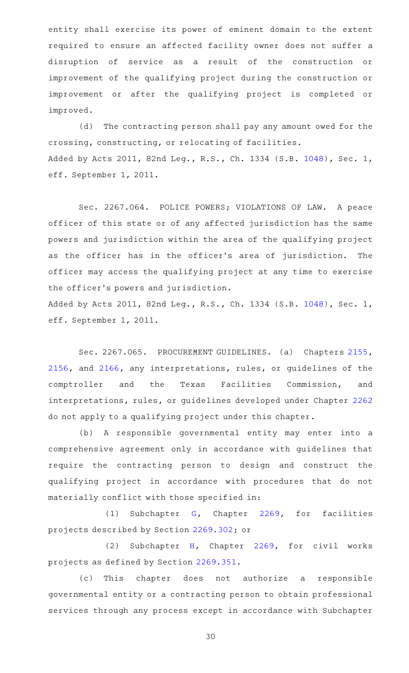entity shall exercise its power of eminent domain to the extent required to ensure an affected facility owner does not suffer a disruption of service as a result of the construction or improvement of the qualifying project during the construction or improvement or after the qualifying project is completed or improved.

(d) The contracting person shall pay any amount owed for the crossing, constructing, or relocating of facilities. Added by Acts 2011, 82nd Leg., R.S., Ch. 1334 (S.B. [1048\)](http://www.legis.state.tx.us/tlodocs/82R/billtext/html/SB01048F.HTM), Sec. 1, eff. September 1, 2011.

Sec. 2267.064. POLICE POWERS; VIOLATIONS OF LAW. A peace officer of this state or of any affected jurisdiction has the same powers and jurisdiction within the area of the qualifying project as the officer has in the officer's area of jurisdiction. The officer may access the qualifying project at any time to exercise the officer 's powers and jurisdiction. Added by Acts 2011, 82nd Leg., R.S., Ch. 1334 (S.B. [1048\)](http://www.legis.state.tx.us/tlodocs/82R/billtext/html/SB01048F.HTM), Sec. 1,

eff. September 1, 2011.

Sec. 2267.065. PROCUREMENT GUIDELINES. (a) Chapters [2155](http://www.statutes.legis.state.tx.us/GetStatute.aspx?Code=GV&Value=2155), [2156](http://www.statutes.legis.state.tx.us/GetStatute.aspx?Code=GV&Value=2156), and [2166](http://www.statutes.legis.state.tx.us/GetStatute.aspx?Code=GV&Value=2166), any interpretations, rules, or guidelines of the comptroller and the Texas Facilities Commission, and interpretations, rules, or guidelines developed under Chapter [2262](http://www.statutes.legis.state.tx.us/GetStatute.aspx?Code=GV&Value=2262) do not apply to a qualifying project under this chapter.

(b) A responsible governmental entity may enter into a comprehensive agreement only in accordance with guidelines that require the contracting person to design and construct the qualifying project in accordance with procedures that do not materially conflict with those specified in:

(1) Subchapter [G](http://www.statutes.legis.state.tx.us/GetStatute.aspx?Code=GV&Value=2269.301), Chapter [2269,](http://www.statutes.legis.state.tx.us/GetStatute.aspx?Code=GV&Value=2269) for facilities projects described by Section [2269.302;](http://www.statutes.legis.state.tx.us/GetStatute.aspx?Code=GV&Value=2269.302) or

(2) Subchapter [H](http://www.statutes.legis.state.tx.us/GetStatute.aspx?Code=GV&Value=2269.351), Chapter [2269](http://www.statutes.legis.state.tx.us/GetStatute.aspx?Code=GV&Value=2269), for civil works projects as defined by Section [2269.351.](http://www.statutes.legis.state.tx.us/GetStatute.aspx?Code=GV&Value=2269.351)

(c) This chapter does not authorize a responsible governmental entity or a contracting person to obtain professional services through any process except in accordance with Subchapter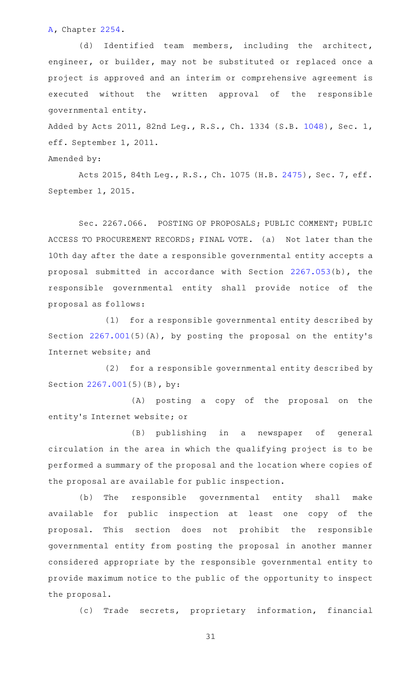## [A,](http://www.statutes.legis.state.tx.us/GetStatute.aspx?Code=GV&Value=2254.001) Chapter [2254](http://www.statutes.legis.state.tx.us/GetStatute.aspx?Code=GV&Value=2254).

(d) Identified team members, including the architect, engineer, or builder, may not be substituted or replaced once a project is approved and an interim or comprehensive agreement is executed without the written approval of the responsible governmental entity.

Added by Acts 2011, 82nd Leg., R.S., Ch. 1334 (S.B. [1048\)](http://www.legis.state.tx.us/tlodocs/82R/billtext/html/SB01048F.HTM), Sec. 1, eff. September 1, 2011.

Amended by:

Acts 2015, 84th Leg., R.S., Ch. 1075 (H.B. [2475](http://www.legis.state.tx.us/tlodocs/84R/billtext/html/HB02475F.HTM)), Sec. 7, eff. September 1, 2015.

Sec. 2267.066. POSTING OF PROPOSALS; PUBLIC COMMENT; PUBLIC ACCESS TO PROCUREMENT RECORDS; FINAL VOTE. (a) Not later than the 10th day after the date a responsible governmental entity accepts a proposal submitted in accordance with Section [2267.053](http://www.statutes.legis.state.tx.us/GetStatute.aspx?Code=GV&Value=2267.053)(b), the responsible governmental entity shall provide notice of the proposal as follows:

(1) for a responsible governmental entity described by Section [2267.001](http://www.statutes.legis.state.tx.us/GetStatute.aspx?Code=GV&Value=2267.001)(5)(A), by posting the proposal on the entity's Internet website; and

(2) for a responsible governmental entity described by Section [2267.001](http://www.statutes.legis.state.tx.us/GetStatute.aspx?Code=GV&Value=2267.001)(5)(B), by:

(A) posting a copy of the proposal on the entity 's Internet website; or

(B) publishing in a newspaper of general circulation in the area in which the qualifying project is to be performed a summary of the proposal and the location where copies of the proposal are available for public inspection.

(b) The responsible governmental entity shall make available for public inspection at least one copy of the proposal. This section does not prohibit the responsible governmental entity from posting the proposal in another manner considered appropriate by the responsible governmental entity to provide maximum notice to the public of the opportunity to inspect the proposal.

(c) Trade secrets, proprietary information, financial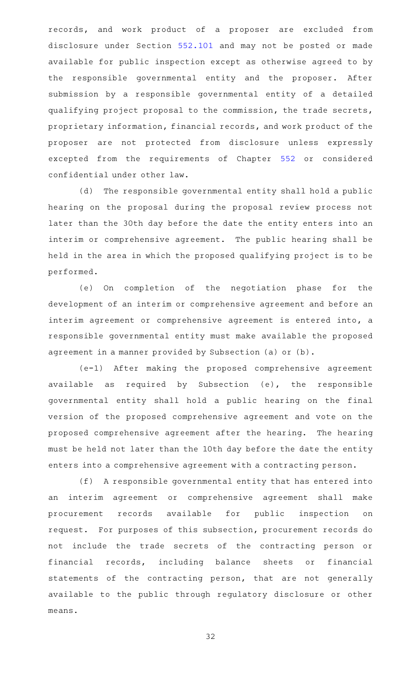records, and work product of a proposer are excluded from disclosure under Section [552.101](http://www.statutes.legis.state.tx.us/GetStatute.aspx?Code=GV&Value=552.101) and may not be posted or made available for public inspection except as otherwise agreed to by the responsible governmental entity and the proposer. After submission by a responsible governmental entity of a detailed qualifying project proposal to the commission, the trade secrets, proprietary information, financial records, and work product of the proposer are not protected from disclosure unless expressly excepted from the requirements of Chapter [552](http://www.statutes.legis.state.tx.us/GetStatute.aspx?Code=GV&Value=552) or considered confidential under other law.

(d) The responsible governmental entity shall hold a public hearing on the proposal during the proposal review process not later than the 30th day before the date the entity enters into an interim or comprehensive agreement. The public hearing shall be held in the area in which the proposed qualifying project is to be performed.

(e) On completion of the negotiation phase for the development of an interim or comprehensive agreement and before an interim agreement or comprehensive agreement is entered into, a responsible governmental entity must make available the proposed agreement in a manner provided by Subsection (a) or (b).

(e-1) After making the proposed comprehensive agreement available as required by Subsection (e), the responsible governmental entity shall hold a public hearing on the final version of the proposed comprehensive agreement and vote on the proposed comprehensive agreement after the hearing. The hearing must be held not later than the 10th day before the date the entity enters into a comprehensive agreement with a contracting person.

(f) A responsible governmental entity that has entered into an interim agreement or comprehensive agreement shall make procurement records available for public inspection on request. For purposes of this subsection, procurement records do not include the trade secrets of the contracting person or financial records, including balance sheets or financial statements of the contracting person, that are not generally available to the public through regulatory disclosure or other means.